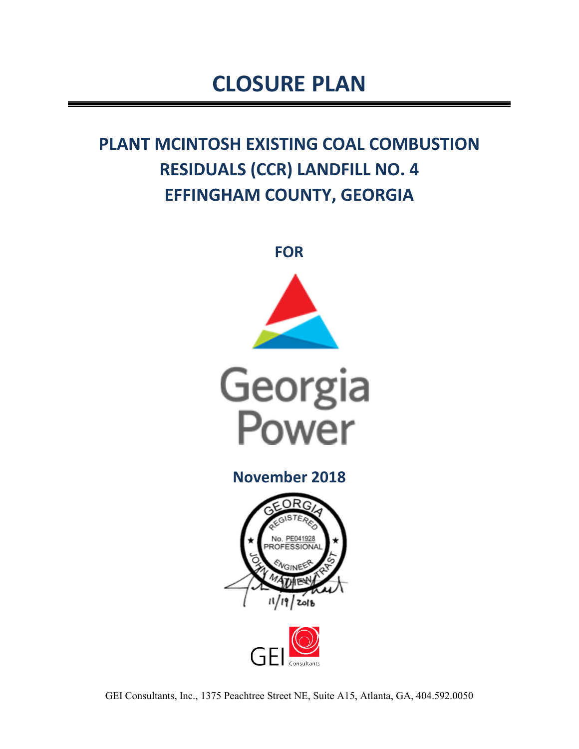# **CLOSURE PLAN**

## **PLANT MCINTOSH EXISTING COAL COMBUSTION RESIDUALS (CCR) LANDFILL NO. 4 EFFINGHAM COUNTY, GEORGIA**



**November 2018** 





GEI Consultants, Inc., 1375 Peachtree Street NE, Suite A15, Atlanta, GA, 404.592.0050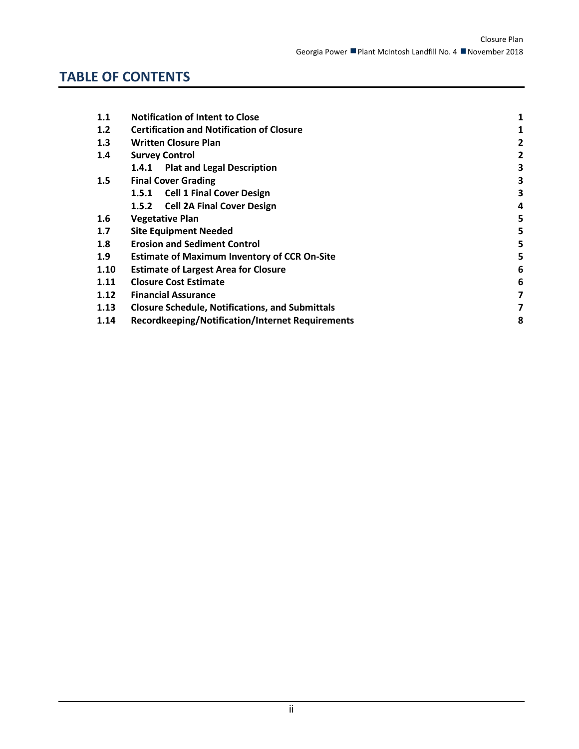## **TABLE OF CONTENTS**

| 1.1              | <b>Notification of Intent to Close</b>                  |   |  |  |  |
|------------------|---------------------------------------------------------|---|--|--|--|
| 1.2              | <b>Certification and Notification of Closure</b>        | 1 |  |  |  |
| 1.3              | <b>Written Closure Plan</b>                             | 2 |  |  |  |
| 1.4              | <b>Survey Control</b>                                   | 2 |  |  |  |
|                  | 1.4.1 Plat and Legal Description                        | 3 |  |  |  |
| 1.5              | <b>Final Cover Grading</b>                              | 3 |  |  |  |
|                  | 1.5.1 Cell 1 Final Cover Design                         | 3 |  |  |  |
|                  | 1.5.2 Cell 2A Final Cover Design                        | 4 |  |  |  |
| $1.6\phantom{0}$ | <b>Vegetative Plan</b>                                  | 5 |  |  |  |
| 1.7              | <b>Site Equipment Needed</b>                            |   |  |  |  |
| 1.8              | <b>Erosion and Sediment Control</b>                     |   |  |  |  |
| 1.9              | <b>Estimate of Maximum Inventory of CCR On-Site</b>     |   |  |  |  |
| 1.10             | 6<br><b>Estimate of Largest Area for Closure</b>        |   |  |  |  |
| 1.11             | <b>Closure Cost Estimate</b>                            |   |  |  |  |
| 1.12             | <b>Financial Assurance</b>                              |   |  |  |  |
| 1.13             | <b>Closure Schedule, Notifications, and Submittals</b>  |   |  |  |  |
| 1.14             | <b>Recordkeeping/Notification/Internet Requirements</b> | 8 |  |  |  |
|                  |                                                         |   |  |  |  |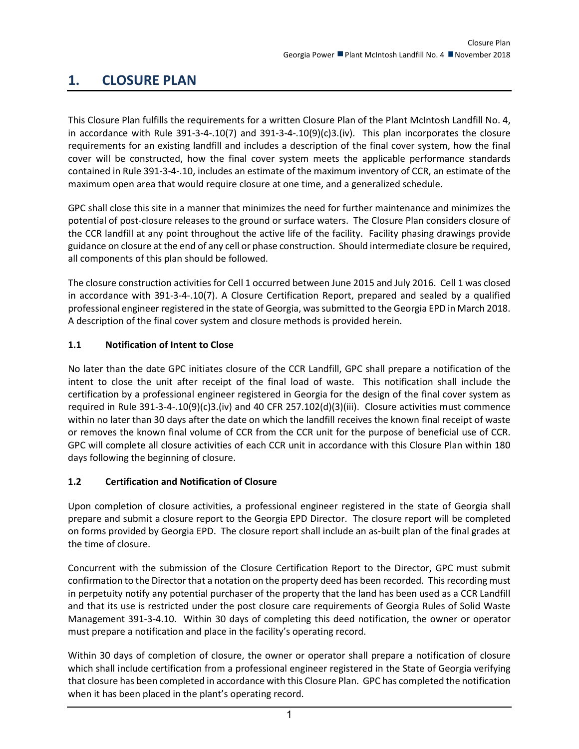### **1. CLOSURE PLAN**

This Closure Plan fulfills the requirements for a written Closure Plan of the Plant McIntosh Landfill No. 4, in accordance with Rule 391-3-4-.10(7) and 391-3-4-.10(9)(c)3.(iv). This plan incorporates the closure requirements for an existing landfill and includes a description of the final cover system, how the final cover will be constructed, how the final cover system meets the applicable performance standards contained in Rule 391-3-4-.10, includes an estimate of the maximum inventory of CCR, an estimate of the maximum open area that would require closure at one time, and a generalized schedule.

GPC shall close this site in a manner that minimizes the need for further maintenance and minimizes the potential of post-closure releases to the ground or surface waters. The Closure Plan considers closure of the CCR landfill at any point throughout the active life of the facility. Facility phasing drawings provide guidance on closure at the end of any cell or phase construction. Should intermediate closure be required, all components of this plan should be followed.

The closure construction activities for Cell 1 occurred between June 2015 and July 2016. Cell 1 was closed in accordance with 391-3-4-.10(7). A Closure Certification Report, prepared and sealed by a qualified professional engineer registered in the state of Georgia, was submitted to the Georgia EPD in March 2018. A description of the final cover system and closure methods is provided herein.

#### <span id="page-2-0"></span>**1.1 Notification of Intent to Close**

No later than the date GPC initiates closure of the CCR Landfill, GPC shall prepare a notification of the intent to close the unit after receipt of the final load of waste. This notification shall include the certification by a professional engineer registered in Georgia for the design of the final cover system as required in Rule 391-3-4-.10(9)(c)3.(iv) and 40 CFR 257.102(d)(3)(iii). Closure activities must commence within no later than 30 days after the date on which the landfill receives the known final receipt of waste or removes the known final volume of CCR from the CCR unit for the purpose of beneficial use of CCR. GPC will complete all closure activities of each CCR unit in accordance with this Closure Plan within 180 days following the beginning of closure.

#### <span id="page-2-1"></span>**1.2 Certification and Notification of Closure**

Upon completion of closure activities, a professional engineer registered in the state of Georgia shall prepare and submit a closure report to the Georgia EPD Director. The closure report will be completed on forms provided by Georgia EPD. The closure report shall include an as-built plan of the final grades at the time of closure.

Concurrent with the submission of the Closure Certification Report to the Director, GPC must submit confirmation to the Director that a notation on the property deed has been recorded. This recording must in perpetuity notify any potential purchaser of the property that the land has been used as a CCR Landfill and that its use is restricted under the post closure care requirements of Georgia Rules of Solid Waste Management 391-3-4.10. Within 30 days of completing this deed notification, the owner or operator must prepare a notification and place in the facility's operating record.

Within 30 days of completion of closure, the owner or operator shall prepare a notification of closure which shall include certification from a professional engineer registered in the State of Georgia verifying that closure has been completed in accordance with this Closure Plan. GPC has completed the notification when it has been placed in the plant's operating record.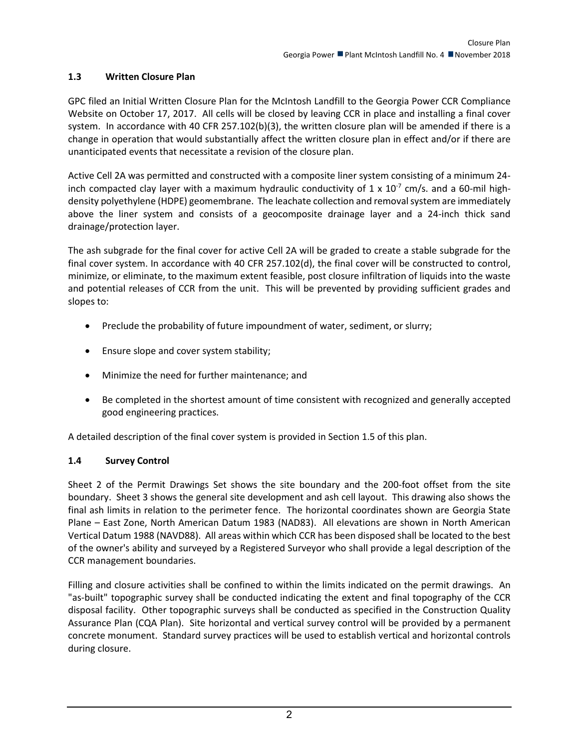#### <span id="page-3-0"></span>**1.3 Written Closure Plan**

GPC filed an Initial Written Closure Plan for the McIntosh Landfill to the Georgia Power CCR Compliance Website on October 17, 2017. All cells will be closed by leaving CCR in place and installing a final cover system. In accordance with 40 CFR 257.102(b)(3), the written closure plan will be amended if there is a change in operation that would substantially affect the written closure plan in effect and/or if there are unanticipated events that necessitate a revision of the closure plan.

Active Cell 2A was permitted and constructed with a composite liner system consisting of a minimum 24 inch compacted clay layer with a maximum hydraulic conductivity of  $1 \times 10^{-7}$  cm/s. and a 60-mil highdensity polyethylene (HDPE) geomembrane. The leachate collection and removal system are immediately above the liner system and consists of a geocomposite drainage layer and a 24-inch thick sand drainage/protection layer.

The ash subgrade for the final cover for active Cell 2A will be graded to create a stable subgrade for the final cover system. In accordance with 40 CFR 257.102(d), the final cover will be constructed to control, minimize, or eliminate, to the maximum extent feasible, post closure infiltration of liquids into the waste and potential releases of CCR from the unit. This will be prevented by providing sufficient grades and slopes to:

- Preclude the probability of future impoundment of water, sediment, or slurry;
- Ensure slope and cover system stability;
- Minimize the need for further maintenance; and
- Be completed in the shortest amount of time consistent with recognized and generally accepted good engineering practices.

A detailed description of the final cover system is provided in Section 1.5 of this plan.

#### <span id="page-3-1"></span>**1.4 Survey Control**

Sheet 2 of the Permit Drawings Set shows the site boundary and the 200-foot offset from the site boundary. Sheet 3 shows the general site development and ash cell layout. This drawing also shows the final ash limits in relation to the perimeter fence. The horizontal coordinates shown are Georgia State Plane – East Zone, North American Datum 1983 (NAD83). All elevations are shown in North American Vertical Datum 1988 (NAVD88). All areas within which CCR has been disposed shall be located to the best of the owner's ability and surveyed by a Registered Surveyor who shall provide a legal description of the CCR management boundaries.

Filling and closure activities shall be confined to within the limits indicated on the permit drawings. An "as-built" topographic survey shall be conducted indicating the extent and final topography of the CCR disposal facility. Other topographic surveys shall be conducted as specified in the Construction Quality Assurance Plan (CQA Plan). Site horizontal and vertical survey control will be provided by a permanent concrete monument. Standard survey practices will be used to establish vertical and horizontal controls during closure.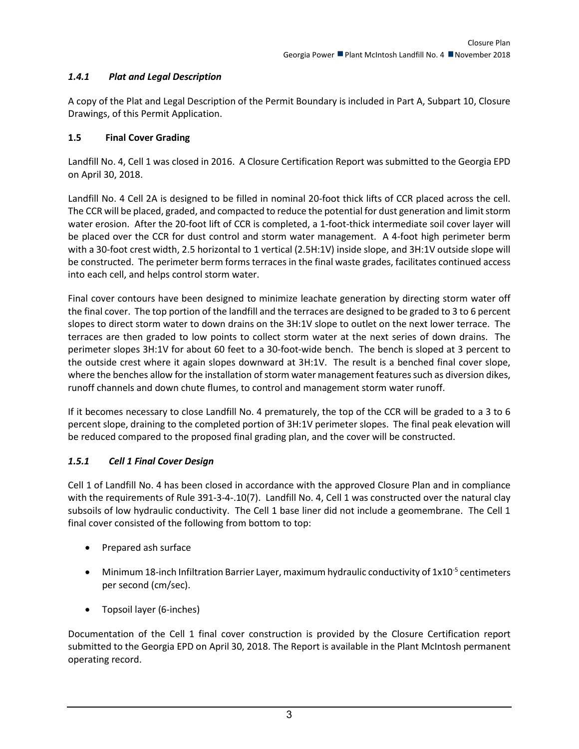#### <span id="page-4-0"></span>*1.4.1 Plat and Legal Description*

A copy of the Plat and Legal Description of the Permit Boundary is included in Part A, Subpart 10, Closure Drawings, of this Permit Application.

#### <span id="page-4-1"></span>**1.5 Final Cover Grading**

Landfill No. 4, Cell 1 was closed in 2016. A Closure Certification Report was submitted to the Georgia EPD on April 30, 2018.

Landfill No. 4 Cell 2A is designed to be filled in nominal 20-foot thick lifts of CCR placed across the cell. The CCR will be placed, graded, and compacted to reduce the potential for dust generation and limit storm water erosion. After the 20-foot lift of CCR is completed, a 1-foot-thick intermediate soil cover layer will be placed over the CCR for dust control and storm water management. A 4-foot high perimeter berm with a 30-foot crest width, 2.5 horizontal to 1 vertical (2.5H:1V) inside slope, and 3H:1V outside slope will be constructed. The perimeter berm forms terraces in the final waste grades, facilitates continued access into each cell, and helps control storm water.

Final cover contours have been designed to minimize leachate generation by directing storm water off the final cover. The top portion of the landfill and the terraces are designed to be graded to 3 to 6 percent slopes to direct storm water to down drains on the 3H:1V slope to outlet on the next lower terrace. The terraces are then graded to low points to collect storm water at the next series of down drains. The perimeter slopes 3H:1V for about 60 feet to a 30-foot-wide bench. The bench is sloped at 3 percent to the outside crest where it again slopes downward at 3H:1V. The result is a benched final cover slope, where the benches allow for the installation of storm water management features such as diversion dikes, runoff channels and down chute flumes, to control and management storm water runoff.

If it becomes necessary to close Landfill No. 4 prematurely, the top of the CCR will be graded to a 3 to 6 percent slope, draining to the completed portion of 3H:1V perimeter slopes. The final peak elevation will be reduced compared to the proposed final grading plan, and the cover will be constructed.

#### <span id="page-4-2"></span>*1.5.1 Cell 1 Final Cover Design*

Cell 1 of Landfill No. 4 has been closed in accordance with the approved Closure Plan and in compliance with the requirements of Rule 391-3-4-.10(7). Landfill No. 4, Cell 1 was constructed over the natural clay subsoils of low hydraulic conductivity. The Cell 1 base liner did not include a geomembrane. The Cell 1 final cover consisted of the following from bottom to top:

- Prepared ash surface
- Minimum 18-inch Infiltration Barrier Layer, maximum hydraulic conductivity of  $1x10^{-5}$  centimeters per second (cm/sec).
- Topsoil layer (6-inches)

Documentation of the Cell 1 final cover construction is provided by the Closure Certification report submitted to the Georgia EPD on April 30, 2018. The Report is available in the Plant McIntosh permanent operating record.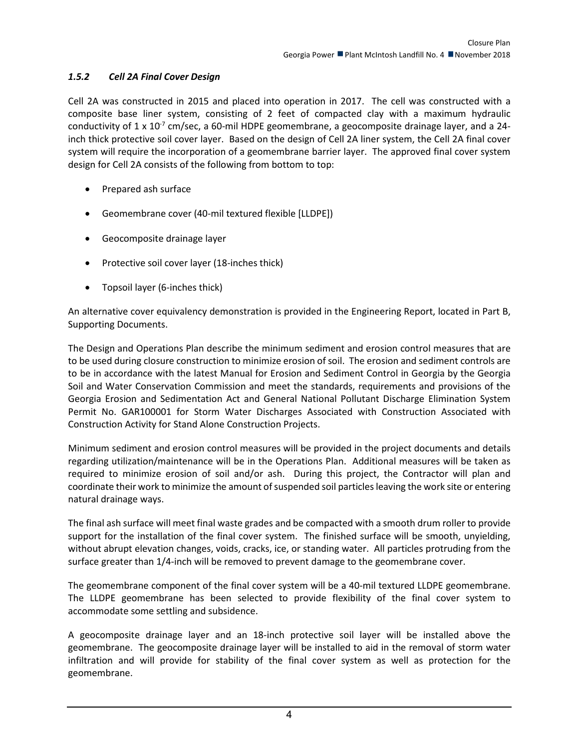#### <span id="page-5-0"></span>*1.5.2 Cell 2A Final Cover Design*

Cell 2A was constructed in 2015 and placed into operation in 2017. The cell was constructed with a composite base liner system, consisting of 2 feet of compacted clay with a maximum hydraulic conductivity of 1 x 10<sup>-7</sup> cm/sec, a 60-mil HDPE geomembrane, a geocomposite drainage layer, and a 24inch thick protective soil cover layer. Based on the design of Cell 2A liner system, the Cell 2A final cover system will require the incorporation of a geomembrane barrier layer. The approved final cover system design for Cell 2A consists of the following from bottom to top:

- Prepared ash surface
- Geomembrane cover (40-mil textured flexible [LLDPE])
- Geocomposite drainage layer
- Protective soil cover layer (18-inches thick)
- Topsoil layer (6-inches thick)

An alternative cover equivalency demonstration is provided in the Engineering Report, located in Part B, Supporting Documents.

The Design and Operations Plan describe the minimum sediment and erosion control measures that are to be used during closure construction to minimize erosion of soil. The erosion and sediment controls are to be in accordance with the latest Manual for Erosion and Sediment Control in Georgia by the Georgia Soil and Water Conservation Commission and meet the standards, requirements and provisions of the Georgia Erosion and Sedimentation Act and General National Pollutant Discharge Elimination System Permit No. GAR100001 for Storm Water Discharges Associated with Construction Associated with Construction Activity for Stand Alone Construction Projects.

Minimum sediment and erosion control measures will be provided in the project documents and details regarding utilization/maintenance will be in the Operations Plan. Additional measures will be taken as required to minimize erosion of soil and/or ash. During this project, the Contractor will plan and coordinate their work to minimize the amount of suspended soil particles leaving the work site or entering natural drainage ways.

The final ash surface will meet final waste grades and be compacted with a smooth drum roller to provide support for the installation of the final cover system. The finished surface will be smooth, unyielding, without abrupt elevation changes, voids, cracks, ice, or standing water. All particles protruding from the surface greater than 1/4-inch will be removed to prevent damage to the geomembrane cover.

The geomembrane component of the final cover system will be a 40-mil textured LLDPE geomembrane. The LLDPE geomembrane has been selected to provide flexibility of the final cover system to accommodate some settling and subsidence.

A geocomposite drainage layer and an 18-inch protective soil layer will be installed above the geomembrane. The geocomposite drainage layer will be installed to aid in the removal of storm water infiltration and will provide for stability of the final cover system as well as protection for the geomembrane.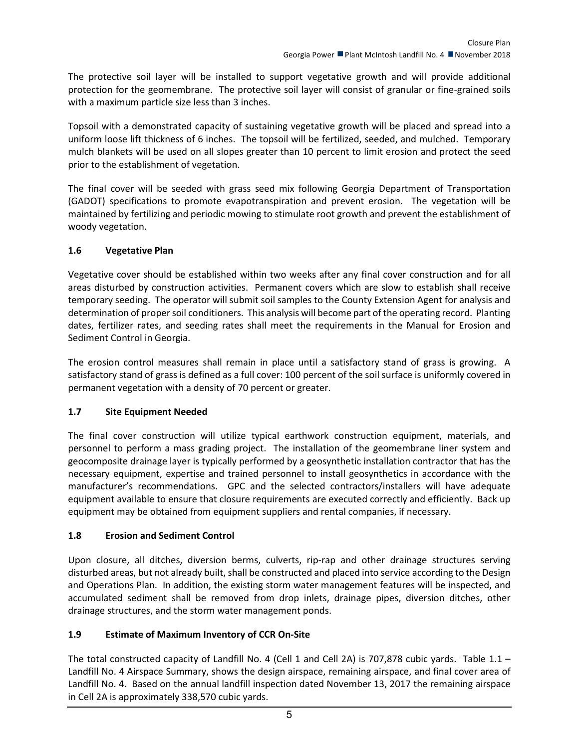The protective soil layer will be installed to support vegetative growth and will provide additional protection for the geomembrane. The protective soil layer will consist of granular or fine-grained soils with a maximum particle size less than 3 inches.

Topsoil with a demonstrated capacity of sustaining vegetative growth will be placed and spread into a uniform loose lift thickness of 6 inches. The topsoil will be fertilized, seeded, and mulched. Temporary mulch blankets will be used on all slopes greater than 10 percent to limit erosion and protect the seed prior to the establishment of vegetation.

The final cover will be seeded with grass seed mix following Georgia Department of Transportation (GADOT) specifications to promote evapotranspiration and prevent erosion. The vegetation will be maintained by fertilizing and periodic mowing to stimulate root growth and prevent the establishment of woody vegetation.

#### <span id="page-6-0"></span>**1.6 Vegetative Plan**

Vegetative cover should be established within two weeks after any final cover construction and for all areas disturbed by construction activities. Permanent covers which are slow to establish shall receive temporary seeding. The operator will submit soil samples to the County Extension Agent for analysis and determination of proper soil conditioners. This analysis will become part of the operating record. Planting dates, fertilizer rates, and seeding rates shall meet the requirements in the Manual for Erosion and Sediment Control in Georgia.

The erosion control measures shall remain in place until a satisfactory stand of grass is growing. A satisfactory stand of grass is defined as a full cover: 100 percent of the soil surface is uniformly covered in permanent vegetation with a density of 70 percent or greater.

#### <span id="page-6-1"></span>**1.7 Site Equipment Needed**

The final cover construction will utilize typical earthwork construction equipment, materials, and personnel to perform a mass grading project. The installation of the geomembrane liner system and geocomposite drainage layer is typically performed by a geosynthetic installation contractor that has the necessary equipment, expertise and trained personnel to install geosynthetics in accordance with the manufacturer's recommendations. GPC and the selected contractors/installers will have adequate equipment available to ensure that closure requirements are executed correctly and efficiently. Back up equipment may be obtained from equipment suppliers and rental companies, if necessary.

#### <span id="page-6-2"></span>**1.8 Erosion and Sediment Control**

Upon closure, all ditches, diversion berms, culverts, rip-rap and other drainage structures serving disturbed areas, but not already built, shall be constructed and placed into service according to the Design and Operations Plan. In addition, the existing storm water management features will be inspected, and accumulated sediment shall be removed from drop inlets, drainage pipes, diversion ditches, other drainage structures, and the storm water management ponds.

#### <span id="page-6-3"></span>**1.9 Estimate of Maximum Inventory of CCR On-Site**

The total constructed capacity of Landfill No. 4 (Cell 1 and Cell 2A) is 707,878 cubic yards. Table 1.1 – Landfill No. 4 Airspace Summary, shows the design airspace, remaining airspace, and final cover area of Landfill No. 4. Based on the annual landfill inspection dated November 13, 2017 the remaining airspace in Cell 2A is approximately 338,570 cubic yards.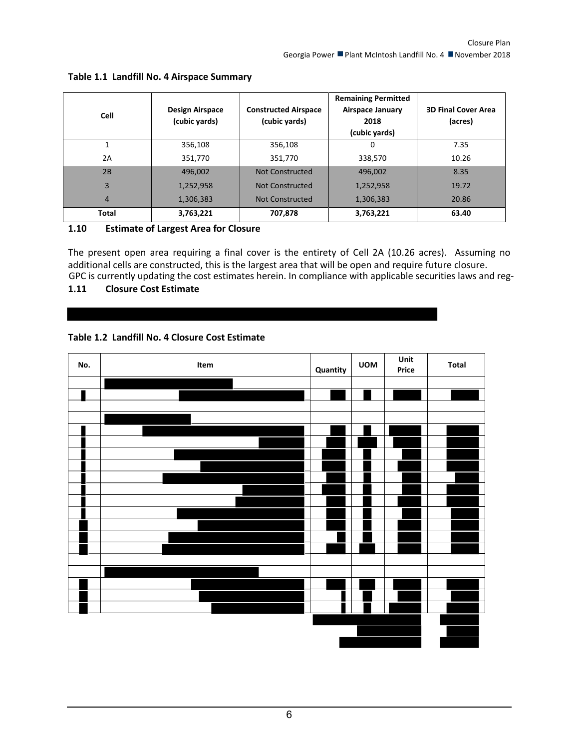| <b>Cell</b>    | <b>Design Airspace</b><br>(cubic yards) | <b>Constructed Airspace</b><br>(cubic yards) | <b>Remaining Permitted</b><br><b>Airspace January</b><br>2018<br>(cubic yards) | <b>3D Final Cover Area</b><br>(acres) |
|----------------|-----------------------------------------|----------------------------------------------|--------------------------------------------------------------------------------|---------------------------------------|
|                | 356,108                                 | 356,108                                      | 0                                                                              | 7.35                                  |
| 2A             | 351,770                                 | 351,770                                      | 338,570                                                                        | 10.26                                 |
| 2B             | 496,002                                 | <b>Not Constructed</b>                       | 496,002                                                                        | 8.35                                  |
| $\overline{3}$ | 1,252,958                               | Not Constructed                              | 1,252,958                                                                      | 19.72                                 |
| 4              | 1,306,383                               | Not Constructed                              | 1,306,383                                                                      | 20.86                                 |
| Total          | 3,763,221                               | 707,878                                      | 3,763,221                                                                      | 63.40                                 |

#### **Table 1.1 Landfill No. 4 Airspace Summary**

#### <span id="page-7-0"></span>**1.10 Estimate of Largest Area for Closure**

The present open area requiring a final cover is the entirety of Cell 2A (10.26 acres). Assuming no additional cells are constructed, this is the largest area that will be open and require future closure. GPC is currently updating the cost estimates herein. In compliance with applicable securities laws and reg-

#### <span id="page-7-1"></span>**1.11 Closure Cost Estimate**

#### **Table 1.2 Landfill No. 4 Closure Cost Estimate**

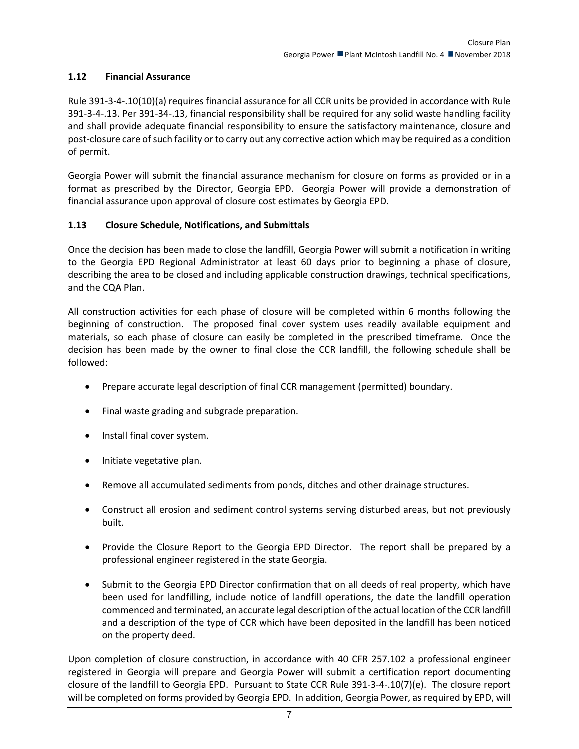#### <span id="page-8-0"></span>**1.12 Financial Assurance**

Rule 391-3-4-.10(10)(a) requires financial assurance for all CCR units be provided in accordance with Rule 391-3-4-.13. Per 391-34-.13, financial responsibility shall be required for any solid waste handling facility and shall provide adequate financial responsibility to ensure the satisfactory maintenance, closure and post-closure care of such facility or to carry out any corrective action which may be required as a condition of permit.

Georgia Power will submit the financial assurance mechanism for closure on forms as provided or in a format as prescribed by the Director, Georgia EPD. Georgia Power will provide a demonstration of financial assurance upon approval of closure cost estimates by Georgia EPD.

#### <span id="page-8-1"></span>**1.13 Closure Schedule, Notifications, and Submittals**

Once the decision has been made to close the landfill, Georgia Power will submit a notification in writing to the Georgia EPD Regional Administrator at least 60 days prior to beginning a phase of closure, describing the area to be closed and including applicable construction drawings, technical specifications, and the CQA Plan.

All construction activities for each phase of closure will be completed within 6 months following the beginning of construction. The proposed final cover system uses readily available equipment and materials, so each phase of closure can easily be completed in the prescribed timeframe. Once the decision has been made by the owner to final close the CCR landfill, the following schedule shall be followed:

- Prepare accurate legal description of final CCR management (permitted) boundary.
- Final waste grading and subgrade preparation.
- Install final cover system.
- Initiate vegetative plan.
- Remove all accumulated sediments from ponds, ditches and other drainage structures.
- Construct all erosion and sediment control systems serving disturbed areas, but not previously built.
- Provide the Closure Report to the Georgia EPD Director. The report shall be prepared by a professional engineer registered in the state Georgia.
- Submit to the Georgia EPD Director confirmation that on all deeds of real property, which have been used for landfilling, include notice of landfill operations, the date the landfill operation commenced and terminated, an accurate legal description of the actual location of the CCR landfill and a description of the type of CCR which have been deposited in the landfill has been noticed on the property deed.

Upon completion of closure construction, in accordance with 40 CFR 257.102 a professional engineer registered in Georgia will prepare and Georgia Power will submit a certification report documenting closure of the landfill to Georgia EPD. Pursuant to State CCR Rule 391-3-4-.10(7)(e). The closure report will be completed on forms provided by Georgia EPD. In addition, Georgia Power, as required by EPD, will